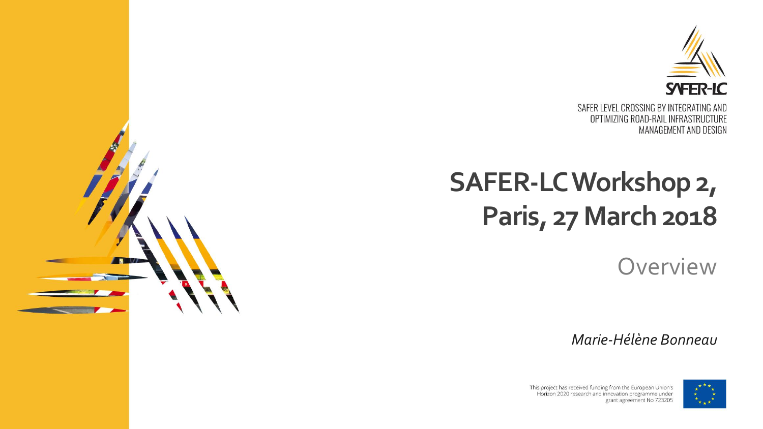

# **SAFER-LC Workshop 2, Paris, 27 March 2018**

**Overview** 

*Marie-Hélène Bonneau*



This project has received funding from the European Union's Horizon 2020 research and innovation programme under grant agreement No 723205

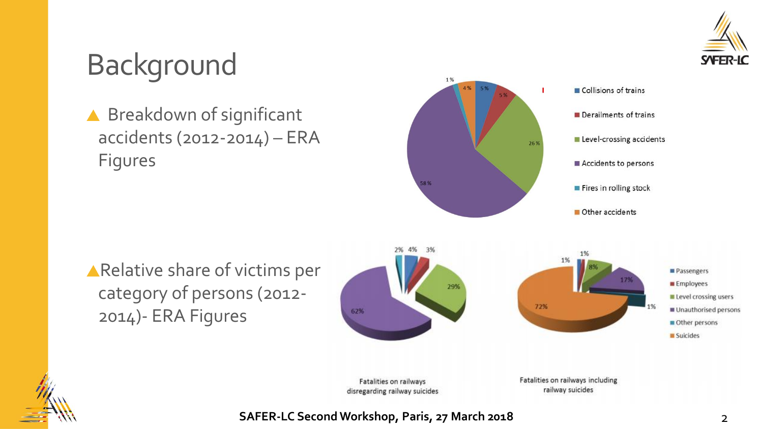

# Background

▲ Breakdown of significant accidents (2012-2014) – ERA Figures



Relative share of victims per category of persons (2012- 2014)- ERA Figures



Fatalities on railways disregarding railway suicides Fatalities on railways including railway suicides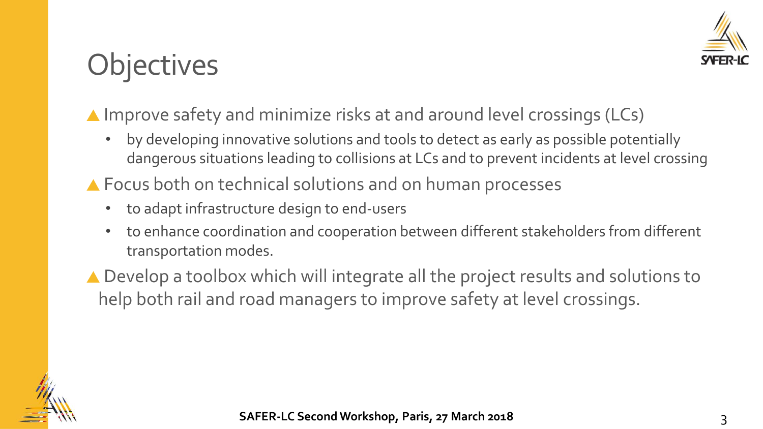

# **Objectives**

#### ▲ Improve safety and minimize risks at and around level crossings (LCs)

- by developing innovative solutions and tools to detect as early as possible potentially dangerous situations leading to collisions at LCs and to prevent incidents at level crossing
- ▲ Focus both on technical solutions and on human processes
	- to adapt infrastructure design to end-users
	- to enhance coordination and cooperation between different stakeholders from different transportation modes.
- ▲ Develop a toolbox which will integrate all the project results and solutions to help both rail and road managers to improve safety at level crossings.

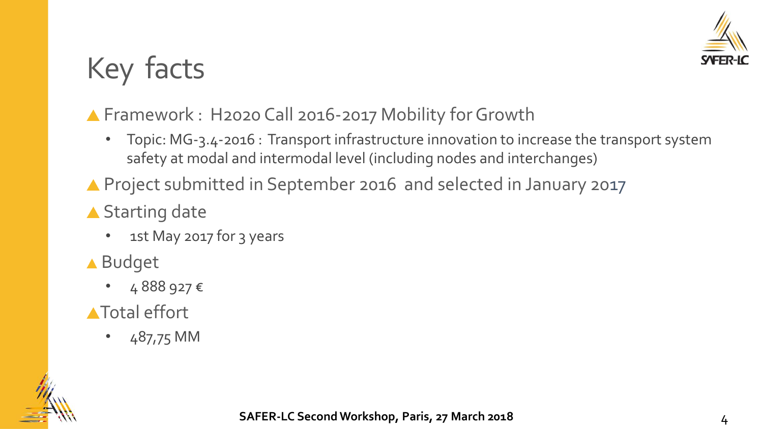

# Key facts

#### ▲ Framework : H2020 Call 2016-2017 Mobility for Growth

- Topic: MG-3.4-2016 : Transport infrastructure innovation to increase the transport system safety at modal and intermodal level (including nodes and interchanges)
- ▲ Project submitted in September 2016 and selected in January 2017
- ▲ Starting date
	- 1st May 2017 for 3 years
- ▲ Budget
	- 4 888 927 €
- **A**Total effort
	- 487,75 MM

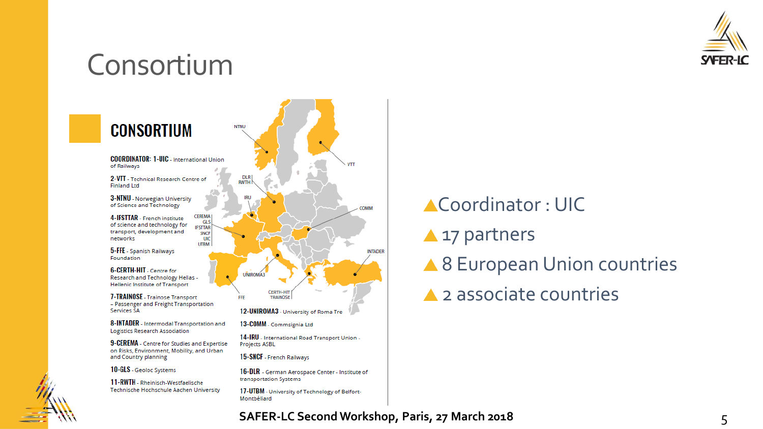

### Consortium



## Coordinator : UIC **A** 17 partners ▲ 8 European Union countries **▲ 2 associate countries**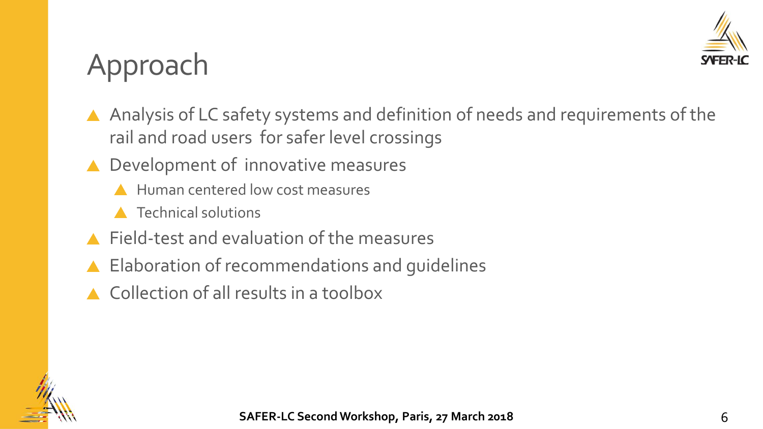

# Approach

- A Analysis of LC safety systems and definition of needs and requirements of the rail and road users for safer level crossings
- ▲ Development of innovative measures
	- Human centered low cost measures
	- **A** Technical solutions
- Field-test and evaluation of the measures
- ▲ Elaboration of recommendations and guidelines
- Collection of all results in a toolbox

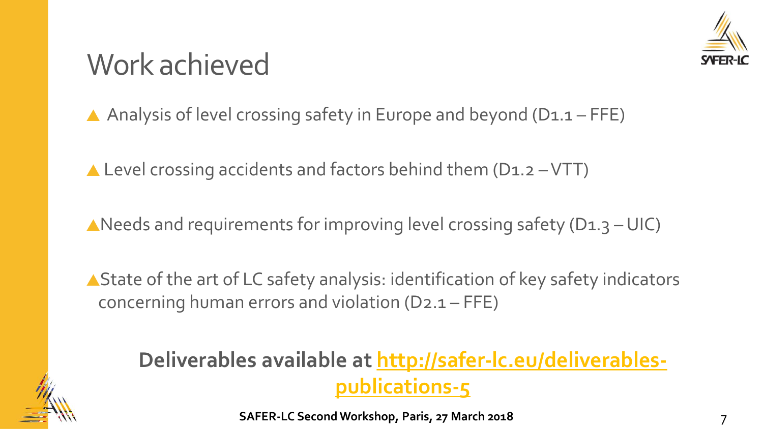

# Work achieved

A Analysis of level crossing safety in Europe and beyond  $(D_1.1 - FFE)$ 

 $\triangle$  Level crossing accidents and factors behind them (D1.2 - VTT)

A Needs and requirements for improving level crossing safety ( $D_1$ ,  $3$  – UIC)

▲ State of the art of LC safety analysis: identification of key safety indicators concerning human errors and violation (D2.1 – FFE)

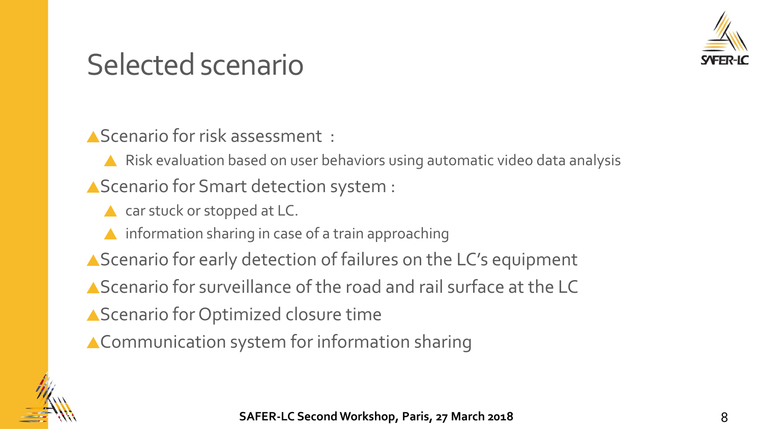

## Selected scenario

Scenario for risk assessment :

A Risk evaluation based on user behaviors using automatic video data analysis

A Scenario for Smart detection system :

- ▲ car stuck or stopped at LC.
- **A** information sharing in case of a train approaching
- ▲ Scenario for early detection of failures on the LC's equipment
- Scenario for surveillance of the road and rail surface at the LC
- A Scenario for Optimized closure time
- ▲ Communication system for information sharing

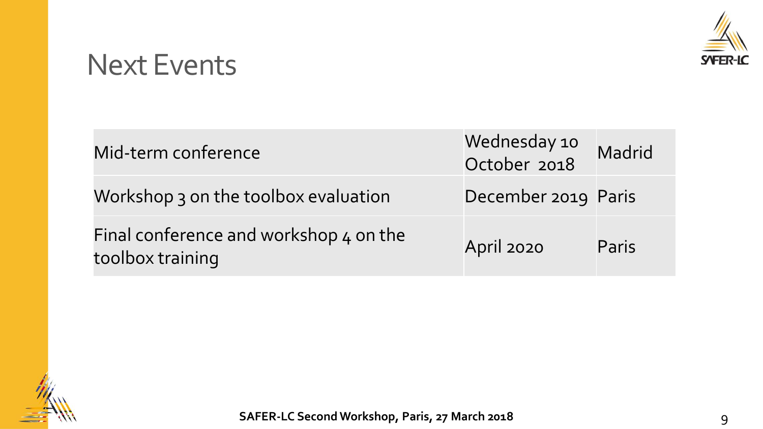

#### Next Events

| Mid-term conference                                        | Wednesday 10<br>October 2018 | Madrid |
|------------------------------------------------------------|------------------------------|--------|
| Workshop 3 on the toolbox evaluation                       | December 2019 Paris          |        |
| Final conference and workshop 4 on the<br>toolbox training | April 2020                   | Paris  |